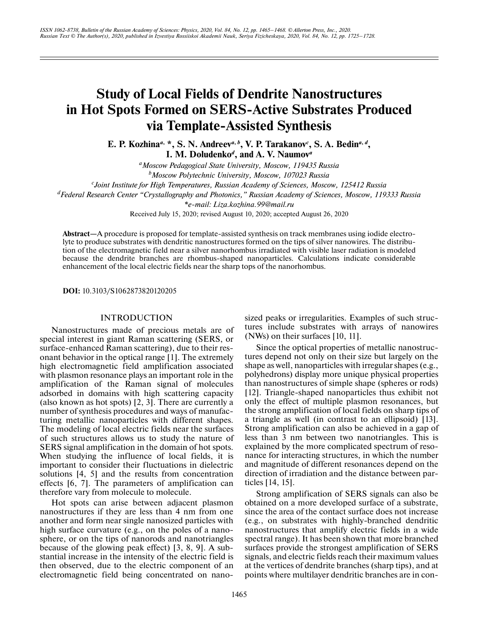# **Study of Local Fields of Dendrite Nanostructures in Hot Spots Formed on SERS-Active Substrates Produced via Template-Assisted Synthesis**

**E. P. Kozhina***<sup>a</sup>***, \*, S. N. Andreev***<sup>a</sup>***,***<sup>b</sup>***, V. P. Tarakanov***<sup>c</sup>* **, S. A. Bedin***<sup>a</sup>***,***<sup>d</sup>***, I. M. Doludenko***<sup>d</sup>* **, and A. V. Naumov***<sup>a</sup>*

*aMoscow Pedagogical State University, Moscow, 119435 Russia b Moscow Polytechnic University, Moscow, 107023 Russia c Joint Institute for High Temperatures, Russian Academy of Sciences, Moscow, 125412 Russia dFederal Research Center "Crystallography and Photonics," Russian Academy of Sciences, Moscow, 119333 Russia \*e-mail: Liza.kozhina.99@mail.ru* Received July 15, 2020; revised August 10, 2020; accepted August 26, 2020

**Abstract—**A procedure is proposed for template-assisted synthesis on track membranes using iodide electrolyte to produce substrates with dendritic nanostructures formed on the tips of silver nanowires. The distribution of the electromagnetic field near a silver nanorhombus irradiated with visible laser radiation is modeled because the dendrite branches are rhombus-shaped nanoparticles. Calculations indicate considerable enhancement of the local electric fields near the sharp tops of the nanorhombus.

**DOI:** 10.3103/S1062873820120205

## INTRODUCTION

Nanostructures made of precious metals are of special interest in giant Raman scattering (SERS, or surface-enhanced Raman scattering), due to their resonant behavior in the optical range [1]. The extremely high electromagnetic field amplification associated with plasmon resonance plays an important role in the amplification of the Raman signal of molecules adsorbed in domains with high scattering capacity (also known as hot spots) [2, 3]. There are currently a number of synthesis procedures and ways of manufacturing metallic nanoparticles with different shapes. The modeling of local electric fields near the surfaces of such structures allows us to study the nature of SERS signal amplification in the domain of hot spots. When studying the influence of local fields, it is important to consider their fluctuations in dielectric solutions [4, 5] and the results from concentration effects [6, 7]. The parameters of amplification can therefore vary from molecule to molecule.

Hot spots can arise between adjacent plasmon nanostructures if they are less than 4 nm from one another and form near single nanosized particles with high surface curvature (e.g., on the poles of a nanosphere, or on the tips of nanorods and nanotriangles because of the glowing peak effect) [3, 8, 9]. A substantial increase in the intensity of the electric field is then observed, due to the electric component of an electromagnetic field being concentrated on nanosized peaks or irregularities. Examples of such structures include substrates with arrays of nanowires (NWs) on their surfaces [10, 11].

Since the optical properties of metallic nanostructures depend not only on their size but largely on the shape as well, nanoparticles with irregular shapes (e.g., polyhedrons) display more unique physical properties than nanostructures of simple shape (spheres or rods) [12]. Triangle-shaped nanoparticles thus exhibit not only the effect of multiple plasmon resonances, but the strong amplification of local fields on sharp tips of a triangle as well (in contrast to an ellipsoid) [13]. Strong amplification can also be achieved in a gap of less than 3 nm between two nanotriangles. This is explained by the more complicated spectrum of resonance for interacting structures, in which the number and magnitude of different resonances depend on the direction of irradiation and the distance between particles [14, 15].

Strong amplification of SERS signals can also be obtained on a more developed surface of a substrate, since the area of the contact surface does not increase (e.g., on substrates with highly-branched dendritic nanostructures that amplify electric fields in a wide spectral range). It has been shown that more branched surfaces provide the strongest amplification of SERS signals, and electric fields reach their maximum values at the vertices of dendrite branches (sharp tips), and at points where multilayer dendritic branches are in con-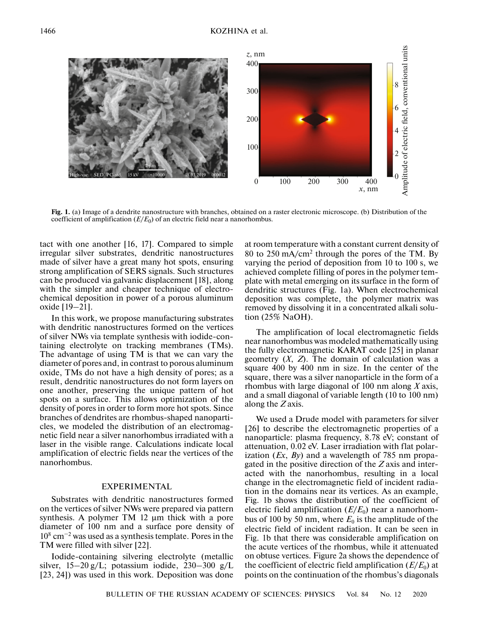

**Fig. 1.** (a) Image of a dendrite nanostructure with branches, obtained on a raster electronic microscope. (b) Distribution of the coefficient of amplification  $(E/E_0)$  of an electric field near a nanorhombus.

tact with one another [16, 17]. Compared to simple irregular silver substrates, dendritic nanostructures made of silver have a great many hot spots, ensuring strong amplification of SERS signals. Such structures can be produced via galvanic displacement [18], along with the simpler and cheaper technique of electrochemical deposition in power of a porous aluminum oxide [19–21].

In this work, we propose manufacturing substrates with dendritic nanostructures formed on the vertices of silver NWs via template synthesis with iodide-containing electrolyte on tracking membranes (TMs). The advantage of using TM is that we can vary the diameter of pores and, in contrast to porous aluminum oxide, TMs do not have a high density of pores; as a result, dendritic nanostructures do not form layers on one another, preserving the unique pattern of hot spots on a surface. This allows optimization of the density of pores in order to form more hot spots. Since branches of dendrites are rhombus-shaped nanoparticles, we modeled the distribution of an electromagnetic field near a silver nanorhombus irradiated with a laser in the visible range. Calculations indicate local amplification of electric fields near the vertices of the nanorhombus.

## EXPERIMENTAL

Substrates with dendritic nanostructures formed on the vertices of silver NWs were prepared via pattern synthesis. A polymer TM 12 μm thick with a pore diameter of 100 nm and a surface pore density of 108 cm−2 was used as a synthesis template. Pores in the TM were filled with silver [22].

Iodide-containing silvering electrolyte (metallic silver,  $15-20$  g/L; potassium iodide,  $230-300$  g/L [23, 24]) was used in this work. Deposition was done at room temperature with a constant current density of 80 to 250 mA/cm2 through the pores of the TM. By varying the period of deposition from 10 to 100 s, we achieved complete filling of pores in the polymer template with metal emerging on its surface in the form of dendritic structures (Fig. 1a). When electrochemical deposition was complete, the polymer matrix was removed by dissolving it in a concentrated alkali solution (25% NaOH).

The amplification of local electromagnetic fields near nanorhombus was modeled mathematically using the fully electromagnetic KARAT code [25] in planar geometry (*Х*, *Z*). The domain of calculation was a square 400 by 400 nm in size. In the center of the square, there was a silver nanoparticle in the form of a rhombus with large diagonal of 100 nm along *X* axis, and a small diagonal of variable length (10 to 100 nm) along the *Z* axis.

We used a Drude model with parameters for silver [26] to describe the electromagnetic properties of a nanoparticle: plasma frequency, 8.78 eV; constant of attenuation, 0.02 eV. Laser irradiation with flat polarization (*Ex*, *By*) and a wavelength of 785 nm propagated in the positive direction of the *Z* axis and interacted with the nanorhombus, resulting in a local change in the electromagnetic field of incident radiation in the domains near its vertices. As an example, Fig. 1b shows the distribution of the coefficient of electric field amplification  $(E/E_0)$  near a nanorhombus of 100 by 50 nm, where  $E_0$  is the amplitude of the electric field of incident radiation. It can be seen in Fig. 1b that there was considerable amplification on the acute vertices of the rhombus, while it attenuated on obtuse vertices. Figure 2a shows the dependence of the coefficient of electric field amplification  $(E/E_0)$  at points on the continuation of the rhombus's diagonals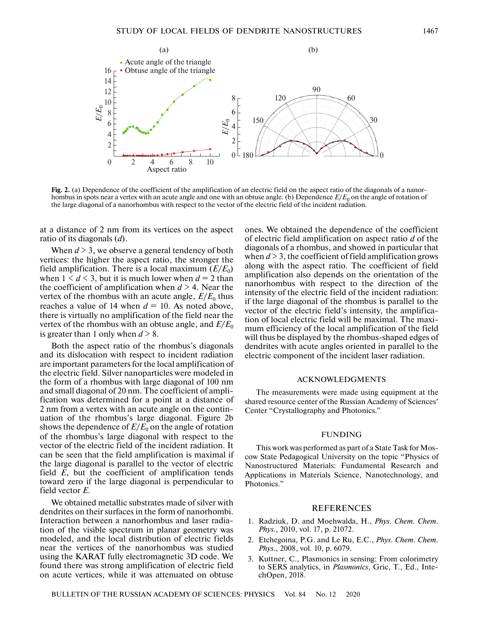

**Fig. 2.** (a) Dependence of the coefficient of the amplification of an electric field on the aspect ratio of the diagonals of a nanorhombus in spots near a vertex with an acute angle and one with an obtuse angle. (b) Dependence  $E/E_0$  on the angle of rotation of the large diagonal of a nanorhombus with respect to the vector of the electric field of the incident radiation.

at a distance of 2 nm from its vertices on the aspect ratio of its diagonals (*d*).

When  $d > 3$ , we observe a general tendency of both vertices: the higher the aspect ratio, the stronger the field amplification. There is a local maximum  $(E/E_0)$ when  $1 \le d \le 3$ , but it is much lower when  $d = 2$  than the coefficient of amplification when  $d > 4$ . Near the vertex of the rhombus with an acute angle,  $E/E_0$  thus reaches a value of 14 when  $d = 10$ . As noted above, there is virtually no amplification of the field near the vertex of the rhombus with an obtuse angle, and  $E/E_0$ is greater than 1 only when  $d > 8$ .

Both the aspect ratio of the rhombus's diagonals and its dislocation with respect to incident radiation are important parameters for the local amplification of the electric field. Silver nanoparticles were modeled in the form of a rhombus with large diagonal of 100 nm and small diagonal of 20 nm. The coefficient of amplification was determined for a point at a distance of 2 nm from a vertex with an acute angle on the continuation of the rhombus's large diagonal. Figure 2b shows the dependence of  $E/E_0$  on the angle of rotation of the rhombus's large diagonal with respect to the vector of the electric field of the incident radiation. It can be seen that the field amplification is maximal if the large diagonal is parallel to the vector of electric field *E*, but the coefficient of amplification tends toward zero if the large diagonal is perpendicular to field vector *E*.

We obtained metallic substrates made of silver with dendrites on their surfaces in the form of nanorhombi. Interaction between a nanorhombus and laser radiation of the visible spectrum in planar geometry was modeled, and the local distribution of electric fields near the vertices of the nanorhombus was studied using the KARAT fully electromagnetic 3D code. We found there was strong amplification of electric field on acute vertices, while it was attenuated on obtuse ones. We obtained the dependence of the coefficient of electric field amplification on aspect ratio *d* of the diagonals of a rhombus, and showed in particular that when  $d > 3$ , the coefficient of field amplification grows along with the aspect ratio. The coefficient of field amplification also depends on the orientation of the nanorhombus with respect to the direction of the intensity of the electric field of the incident radiation: if the large diagonal of the rhombus is parallel to the vector of the electric field's intensity, the amplification of local electric field will be maximal. The maximum efficiency of the local amplification of the field will thus be displayed by the rhombus-shaped edges of dendrites with acute angles oriented in parallel to the electric component of the incident laser radiation.

#### ACKNOWLEDGMENTS

The measurements were made using equipment at the shared resource center of the Russian Academy of Sciences' Center "Crystallography and Photonics."

#### FUNDING

This work was performed as part of a State Task for Moscow State Pedagogical University on the topic "Physics of Nanostructured Materials: Fundamental Research and Applications in Materials Science, Nanotechnology, and Photonics."

### REFERENCES

- 1. Radziuk, D. and Moehwalda, H., *Phys. Chem. Chem. Phys.*, 2010, vol. 17, p. 21072.
- 2. Etchegoina, P.G. and Le Ru, E.C., *Phys. Chem. Chem. Phys.*, 2008, vol. 10, p. 6079.
- 3. Kuttner, C., Plasmonics in sensing: From colorimetry to SERS analytics, in *Plasmonics*, Gric, T., Ed., IntechOpen, 2018.